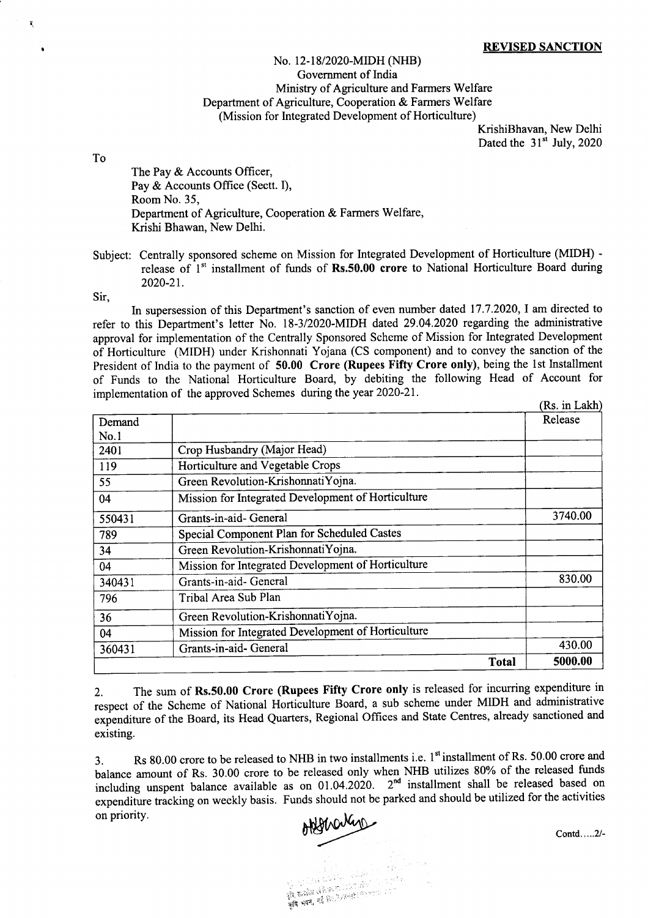## No. 12-l 8/2020-MIDH (NHB) Government of India Ministry of Agriculture and Farmers Welfare Department of Agriculture, Cooperation & Farmers Welfare (Mission for Integrated Development of Horticulture)

KrishiBhavan, New Delhi Dated the  $31<sup>st</sup>$  July, 2020

To

I

I

The Pay & Accounts Officer, Pay & Accounts Office (Sectt. I), RoomNo.35, Department of Agriculture, Cooperation & Farmers Welfare, Krishi Bhawan, New Delhi.

Subject: Centrally sponsored scheme on Mission for Integrated Development of Horticulture (MIDH) release of 1<sup>st</sup> installment of funds of Rs.50.00 crore to National Horticulture Board during 2020-21.

Sir,

In supersession of this Department's sanction of even number dated 17.7.2020, I am directed to refer to this Department's letter No. 18-3/2020-MIDH dated 29.04.2020 regarding the administrative approval for implementation of the Centrally Sponsored Scheme of Mission for Integrated Development of Horticulture (MIDH) under Krishonnati Yojana (CS component) and to convey the sanction of the President of India to the payment of 50.00 Crore (Rupees Fifty Crore only), being the 1st Installment of Funds to the National Horticulture Board, by debiting the following Head of Account for implementation of the approved Schemes during the year 2020-21

|        |                                                    | (Rs. in Lakh) |
|--------|----------------------------------------------------|---------------|
| Demand |                                                    | Release       |
| No.1   |                                                    |               |
| 2401   | Crop Husbandry (Major Head)                        |               |
| 119    | Horticulture and Vegetable Crops                   |               |
| 55     | Green Revolution-KrishonnatiYojna.                 |               |
| 04     | Mission for Integrated Development of Horticulture |               |
| 550431 | Grants-in-aid- General                             | 3740.00       |
| 789    | Special Component Plan for Scheduled Castes        |               |
| 34     | Green Revolution-KrishonnatiYojna.                 |               |
| 04     | Mission for Integrated Development of Horticulture |               |
| 340431 | Grants-in-aid- General                             | 830.00        |
| 796    | Tribal Area Sub Plan                               |               |
| 36     | Green Revolution-KrishonnatiYojna.                 |               |
| 04     | Mission for Integrated Development of Horticulture |               |
| 360431 | Grants-in-aid- General                             | 430.00        |
|        | <b>Total</b>                                       | 5000.00       |

2. The sum of Rs.50.00 Crore (Rupees Fifty Crore only is released for incurring expenditure in respect of the Scheme of National Horticulture Board, a sub scheme under MIDH and administrative expenditure of the Board, its Head Quarters, Regional Offices and State Centres, already sanctioned and existing.

3. Rs 80.00 crore to be released to NHB in two installments i.e. l" installment of Rs. 50.00 crore and balance amount of Rs. 30.00 crore to be released only when NHB utilizes 80% of the released funds including unspent balance available as on 01.04.2020. 2<sup>nd</sup> installment shall be released based on expenditure tracking on weekly basis. Funds should not be parked and should be utilized for the activities on priority.<br>
on priority contd....2l-

को का पानी है।<br>इन्ने संस्कृति से बिजी के लिए किया किया है।<br>**कृषि भवन, नई** किए*ने /Krish Premier 201*1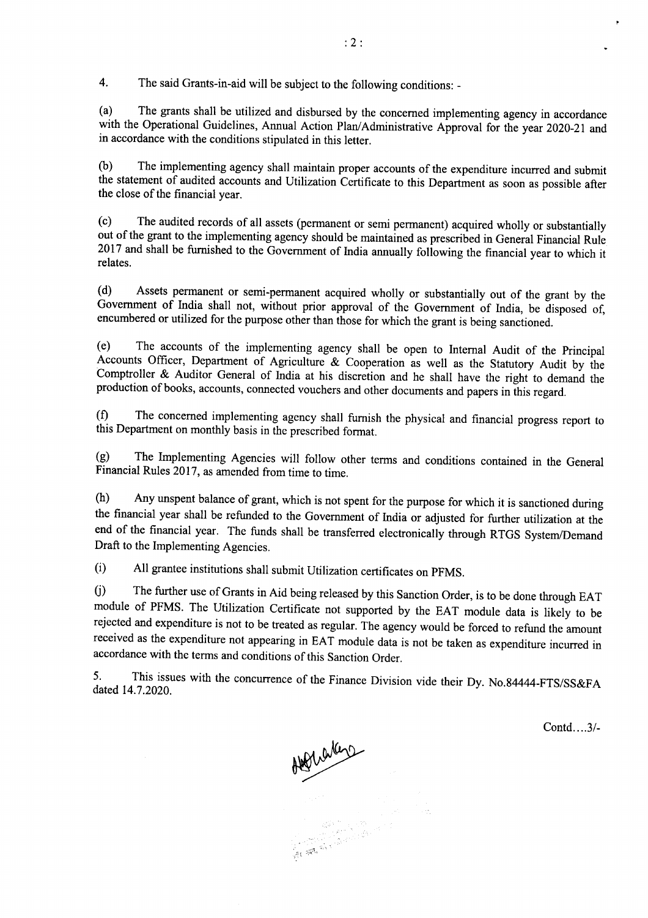4. The said Grants-in-aid will be subject to the following conditions: -

(a) The grants shall be utilized and disbursed by the concerned implementing agency in accordance with the Operational Guidelines, Annual Action Plan/Administrative Approval for the year 2020-21 and in accordance with the conditions stipulated in this letter.

(b) The implementing agency shall maintain proper accounts of the expenditure incurred and submit the statement of audited accounts and Utilization Certificate to this Department as soon as possible after the close of the financial year.

(c) The audited records of all assets (permanent or semi permanent) acquired wholly or substantially out of the grant to the implementing agency should be maintained as prescribed in General Financial Rule <sup>2017</sup>and shall be fumished to the Government of India annually foliowing the financial year to which it relates.

(d) Assets permanent or semi-permanent acquired wholly or substantially out of the grant by the Government of India shall not, without prior approval of the Government of India, be disposed of, encumbered or utilized for the purpose other than those for which the grant is being sanctioned.

(e) The accounts of the implementing agency shall be open to lntemal Audit of the principal Accounts Officer, Department of Agriculture  $\&$  Cooperation as well as the Statutory Audit by the Comptroller & Auditor General of India at his discretion and he shall have the right to demand the production of books, accounts, connected vouchers and other documents and papers in this regard.

(0 The concerned implementing agency shall furnish the physical and financial progress report to this Department on monthly basis in the prescribed format.

!g) The Implementing Agencies will follow other terms and conditions contained in the General Financial Rules 2017, as amended from time to time.

(h) Any unspent balance of grant, which is not spent for the purpose for which it is sanctioned during the financial year shall be refunded to the Government of lndia or adjusted for further utilization at the end of the financial year. The funds shall be transferred electronically through RTGS System/Demand Draft to the Implementing Agencies.

(i) All grantee institutions shall submit Utilization certificates on pFMS.

0) The further use of Grants in Aid being released by this Sanction order, is to be done through EAT module of PFMS. The Utilization Certificate not supported by the EAT module data is likely to be rejected and expenditure is not to be treated as regular. The agency would be forced to refund the amount received as the expenditure not appearing in EAT module data is not be taken as expenditure incurred in accordance with the terms and conditions of this Sanction order.

5. This issues with the concurrence of the Finance Division vide their Dy. No.84444-FTS/SS&FA dated 14.7.2020.

Contd....3/-

Allenation  $\sim$   $\sim$